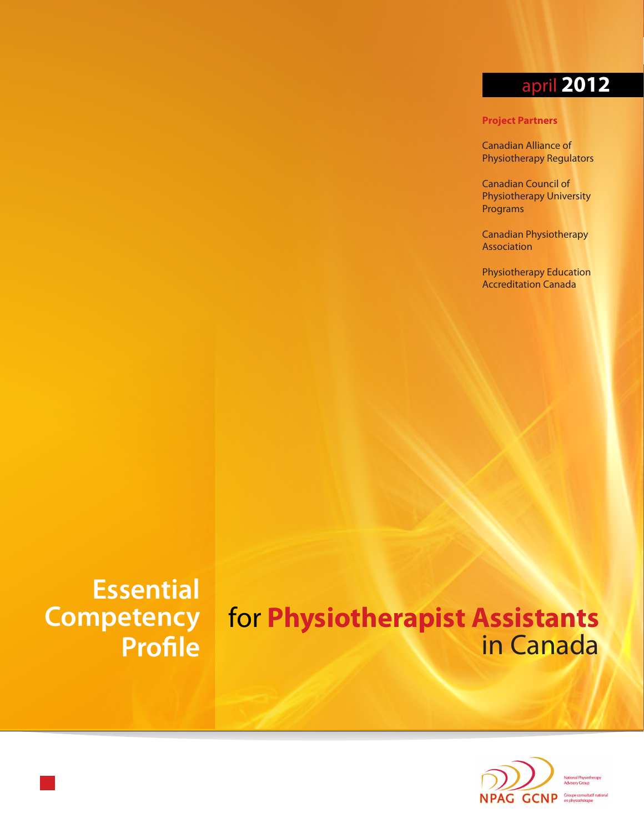#### april **2012**

#### **Project Partners**

Canadian Alliance of Physiotherapy Regulators

Canadian Council of Physiotherapy University Programs

Canadian Physiotherapy Association

Physiotherapy Education Accreditation Canada

## **Essential Profile**

## **Competency**  for **Physiotherapist Assistants** in Canada

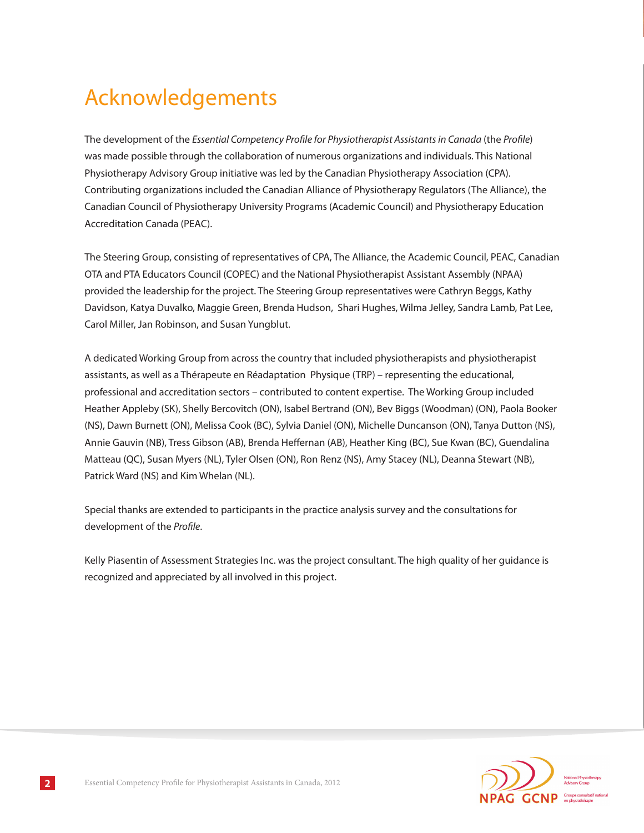### Acknowledgements

The development of the *Essential Competency Profile for Physiotherapist Assistants in Canada* (the *Profile*) was made possible through the collaboration of numerous organizations and individuals. This National Physiotherapy Advisory Group initiative was led by the Canadian Physiotherapy Association (CPA). Contributing organizations included the Canadian Alliance of Physiotherapy Regulators (The Alliance), the Canadian Council of Physiotherapy University Programs (Academic Council) and Physiotherapy Education Accreditation Canada (PEAC).

The Steering Group, consisting of representatives of CPA, The Alliance, the Academic Council, PEAC, Canadian OTA and PTA Educators Council (COPEC) and the National Physiotherapist Assistant Assembly (NPAA) provided the leadership for the project. The Steering Group representatives were Cathryn Beggs, Kathy Davidson, Katya Duvalko, Maggie Green, Brenda Hudson, Shari Hughes, Wilma Jelley, Sandra Lamb, Pat Lee, Carol Miller, Jan Robinson, and Susan Yungblut.

A dedicated Working Group from across the country that included physiotherapists and physiotherapist assistants, as well as a Thérapeute en Réadaptation Physique (TRP) – representing the educational, professional and accreditation sectors – contributed to content expertise. The Working Group included Heather Appleby (SK), Shelly Bercovitch (ON), Isabel Bertrand (ON), Bev Biggs (Woodman) (ON), Paola Booker (NS), Dawn Burnett (ON), Melissa Cook (BC), Sylvia Daniel (ON), Michelle Duncanson (ON), Tanya Dutton (NS), Annie Gauvin (NB), Tress Gibson (AB), Brenda Heffernan (AB), Heather King (BC), Sue Kwan (BC), Guendalina Matteau (QC), Susan Myers (NL), Tyler Olsen (ON), Ron Renz (NS), Amy Stacey (NL), Deanna Stewart (NB), Patrick Ward (NS) and Kim Whelan (NL).

Special thanks are extended to participants in the practice analysis survey and the consultations for development of the *Profile*.

Kelly Piasentin of Assessment Strategies Inc. was the project consultant. The high quality of her guidance is recognized and appreciated by all involved in this project.

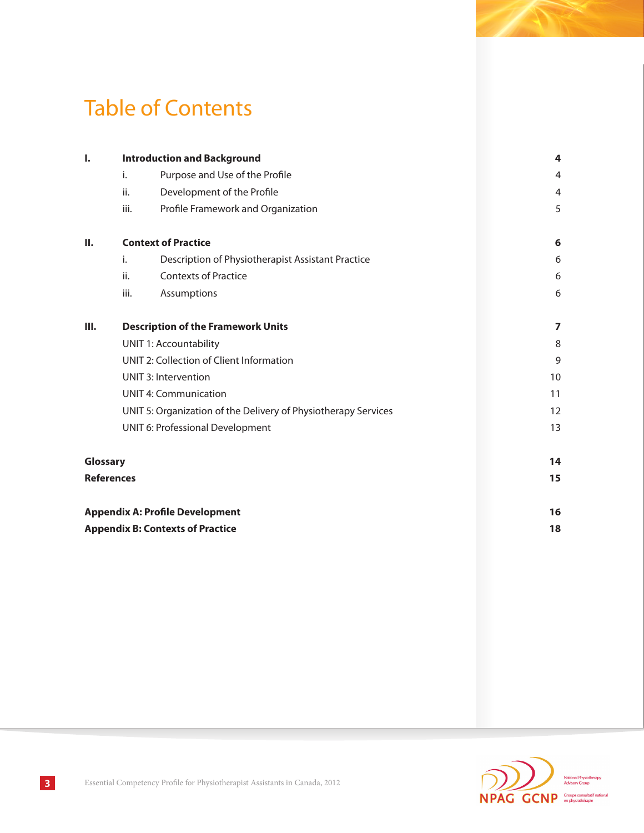### Table of Contents

| ı.       |                   | <b>Introduction and Background</b>                             | 4              |
|----------|-------------------|----------------------------------------------------------------|----------------|
|          | i.                | Purpose and Use of the Profile                                 | 4              |
|          | ii.               | Development of the Profile                                     | $\overline{4}$ |
|          | iii.              | Profile Framework and Organization                             | 5              |
| Ш.       |                   | <b>Context of Practice</b>                                     | 6              |
|          | i.                | Description of Physiotherapist Assistant Practice              | 6              |
|          | ii.               | <b>Contexts of Practice</b>                                    | 6              |
|          | iii.              | Assumptions                                                    | 6              |
| Ш.       |                   | <b>Description of the Framework Units</b>                      | $\overline{ }$ |
|          |                   | <b>UNIT 1: Accountability</b>                                  | 8              |
|          |                   | UNIT 2: Collection of Client Information                       | 9              |
|          |                   | <b>UNIT 3: Intervention</b>                                    | 10             |
|          |                   | <b>UNIT 4: Communication</b>                                   | 11             |
|          |                   | UNIT 5: Organization of the Delivery of Physiotherapy Services | 12             |
|          |                   | <b>UNIT 6: Professional Development</b>                        | 13             |
| Glossary |                   |                                                                | 14             |
|          | <b>References</b> |                                                                | 15             |
|          |                   | <b>Appendix A: Profile Development</b>                         | 16             |
|          |                   | <b>Appendix B: Contexts of Practice</b>                        | 18             |

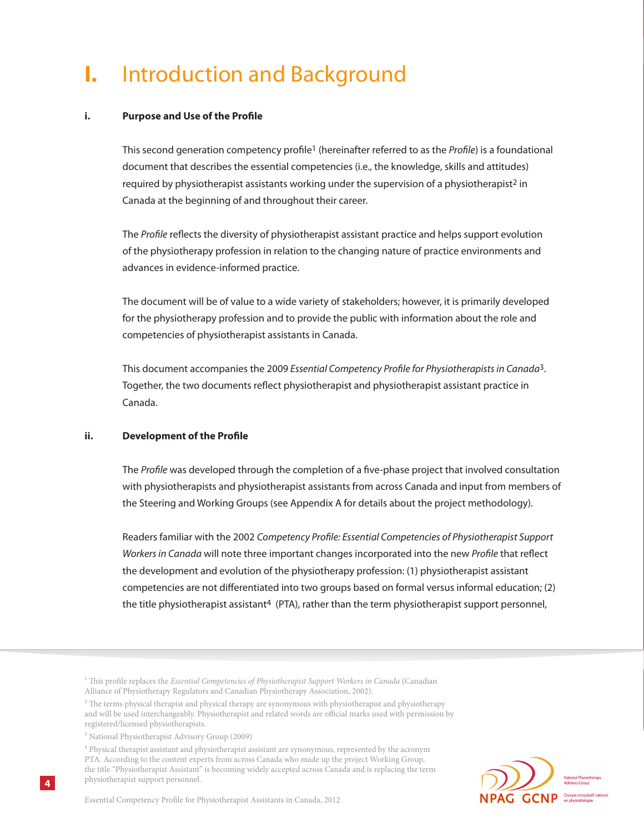### **I.** Introduction and Background

#### **i. Purpose and Use of the Profile**

This second generation competency profile1 (hereinafter referred to as the *Profile*) is a foundational document that describes the essential competencies (i.e., the knowledge, skills and attitudes) required by physiotherapist assistants working under the supervision of a physiotherapist<sup>2</sup> in Canada at the beginning of and throughout their career.

The *Profile* reflects the diversity of physiotherapist assistant practice and helps support evolution of the physiotherapy profession in relation to the changing nature of practice environments and advances in evidence-informed practice.

The document will be of value to a wide variety of stakeholders; however, it is primarily developed for the physiotherapy profession and to provide the public with information about the role and competencies of physiotherapist assistants in Canada.

This document accompanies the 2009 *Essential Competency Profile for Physiotherapists in Canada*3. Together, the two documents reflect physiotherapist and physiotherapist assistant practice in Canada.

#### **ii. Development of the Profile**

The *Profile* was developed through the completion of a five-phase project that involved consultation with physiotherapists and physiotherapist assistants from across Canada and input from members of the Steering and Working Groups (see Appendix A for details about the project methodology).

Readers familiar with the 2002 *Competency Profile: Essential Competencies of Physiotherapist Support Workers in Canada* will note three important changes incorporated into the new *Profile* that reflect the development and evolution of the physiotherapy profession: (1) physiotherapist assistant competencies are not differentiated into two groups based on formal versus informal education; (2) the title physiotherapist assistant4 (PTA), rather than the term physiotherapist support personnel,

<sup>4</sup> Physical therapist assistant and physiotherapist assistant are synonymous, represented by the acronym PTA. According to the content experts from across Canada who made up the project Working Group, the title "Physiotherapist Assistant" is becoming widely accepted across Canada and is replacing the term physiotherapist support personnel.



<sup>1</sup> This profile replaces the *Essential Competencies of Physiotherapist Support Workers in Canada* (Canadian Alliance of Physiotherapy Regulators and Canadian Physiotherapy Association, 2002).

<sup>&</sup>lt;sup>2</sup> The terms physical therapist and physical therapy are synonymous with physiotherapist and physiotherapy and will be used interchangeably. Physiotherapist and related words are official marks used with permission by registered/licensed physiotherapists.

<sup>3</sup> National Physiotherapist Advisory Group (2009)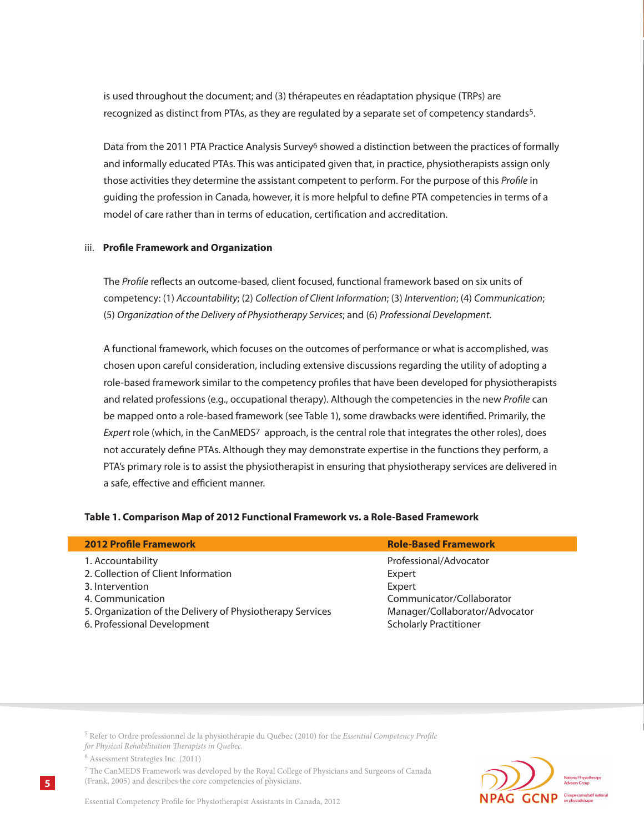is used throughout the document; and (3) thérapeutes en réadaptation physique (TRPs) are recognized as distinct from PTAs, as they are regulated by a separate set of competency standards5.

Data from the 2011 PTA Practice Analysis Survey<sup>6</sup> showed a distinction between the practices of formally and informally educated PTAs. This was anticipated given that, in practice, physiotherapists assign only those activities they determine the assistant competent to perform. For the purpose of this *Profile* in guiding the profession in Canada, however, it is more helpful to define PTA competencies in terms of a model of care rather than in terms of education, certification and accreditation.

#### iii. **Profile Framework and Organization**

The *Profile* reflects an outcome-based, client focused, functional framework based on six units of competency: (1) *Accountability*; (2) *Collection of Client Information*; (3) *Intervention*; (4) *Communication*; (5) *Organization of the Delivery of Physiotherapy Services*; and (6) *Professional Development*.

A functional framework, which focuses on the outcomes of performance or what is accomplished, was chosen upon careful consideration, including extensive discussions regarding the utility of adopting a role-based framework similar to the competency profiles that have been developed for physiotherapists and related professions (e.g., occupational therapy). Although the competencies in the new *Profile* can be mapped onto a role-based framework (see Table 1), some drawbacks were identified. Primarily, the *Expert* role (which, in the CanMEDS<sup>7</sup> approach, is the central role that integrates the other roles), does not accurately define PTAs. Although they may demonstrate expertise in the functions they perform, a PTA's primary role is to assist the physiotherapist in ensuring that physiotherapy services are delivered in a safe, effective and efficient manner.

#### **Table 1. Comparison Map of 2012 Functional Framework vs. a Role-Based Framework**

| <b>2012 Profile Framework</b>                             | <b>Role-Based Framework</b>    |
|-----------------------------------------------------------|--------------------------------|
| 1. Accountability                                         | Professional/Advocator         |
| 2. Collection of Client Information                       | Expert                         |
| 3. Intervention                                           | Expert                         |
| 4. Communication                                          | Communicator/Collaborator      |
| 5. Organization of the Delivery of Physiotherapy Services | Manager/Collaborator/Advocator |
| 6. Professional Development                               | <b>Scholarly Practitioner</b>  |
|                                                           |                                |

5 Refer to Ordre professionnel de la physiothérapie du Québec (2010) for the *Essential Competency Profile for Physical Rehabilitation Therapists in Quebec.*

6 Assessment Strategies Inc. (2011)

7 The CanMEDS Framework was developed by the Royal College of Physicians and Surgeons of Canada (Frank, 2005) and describes the core competencies of physicians.

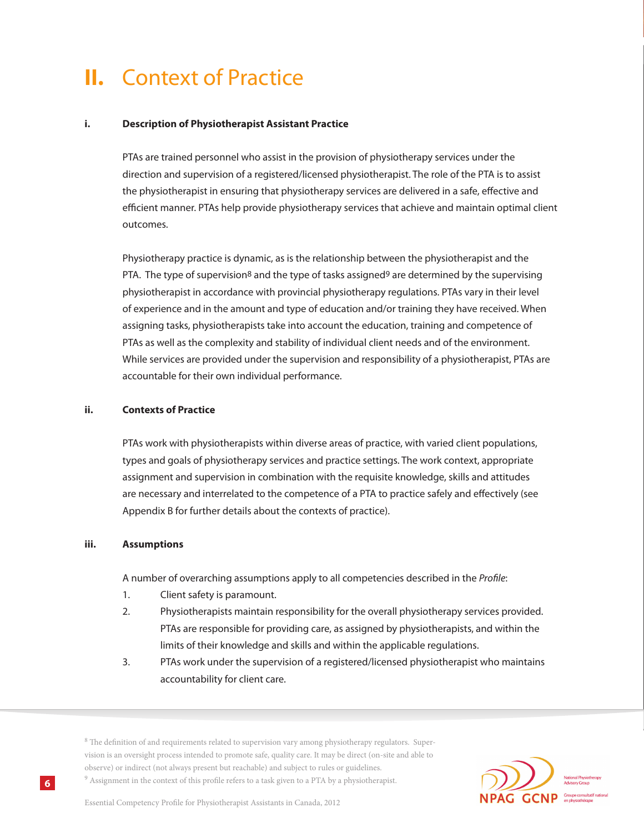#### **II.** Context of Practice

#### **i. Description of Physiotherapist Assistant Practice**

PTAs are trained personnel who assist in the provision of physiotherapy services under the direction and supervision of a registered/licensed physiotherapist. The role of the PTA is to assist the physiotherapist in ensuring that physiotherapy services are delivered in a safe, effective and efficient manner. PTAs help provide physiotherapy services that achieve and maintain optimal client outcomes.

Physiotherapy practice is dynamic, as is the relationship between the physiotherapist and the PTA. The type of supervision<sup>8</sup> and the type of tasks assigned<sup>9</sup> are determined by the supervising physiotherapist in accordance with provincial physiotherapy regulations. PTAs vary in their level of experience and in the amount and type of education and/or training they have received. When assigning tasks, physiotherapists take into account the education, training and competence of PTAs as well as the complexity and stability of individual client needs and of the environment. While services are provided under the supervision and responsibility of a physiotherapist, PTAs are accountable for their own individual performance.

#### **ii. Contexts of Practice**

PTAs work with physiotherapists within diverse areas of practice, with varied client populations, types and goals of physiotherapy services and practice settings. The work context, appropriate assignment and supervision in combination with the requisite knowledge, skills and attitudes are necessary and interrelated to the competence of a PTA to practice safely and effectively (see Appendix B for further details about the contexts of practice).

#### **iii. Assumptions**

A number of overarching assumptions apply to all competencies described in the *Profile*:

- 1. Client safety is paramount.
- 2. Physiotherapists maintain responsibility for the overall physiotherapy services provided. PTAs are responsible for providing care, as assigned by physiotherapists, and within the limits of their knowledge and skills and within the applicable regulations.
- 3. PTAs work under the supervision of a registered/licensed physiotherapist who maintains accountability for client care.

<sup>8</sup> The definition of and requirements related to supervision vary among physiotherapy regulators. Supervision is an oversight process intended to promote safe, quality care. It may be direct (on-site and able to observe) or indirect (not always present but reachable) and subject to rules or guidelines. <sup>9</sup> Assignment in the context of this profile refers to a task given to a PTA by a physiotherapist.

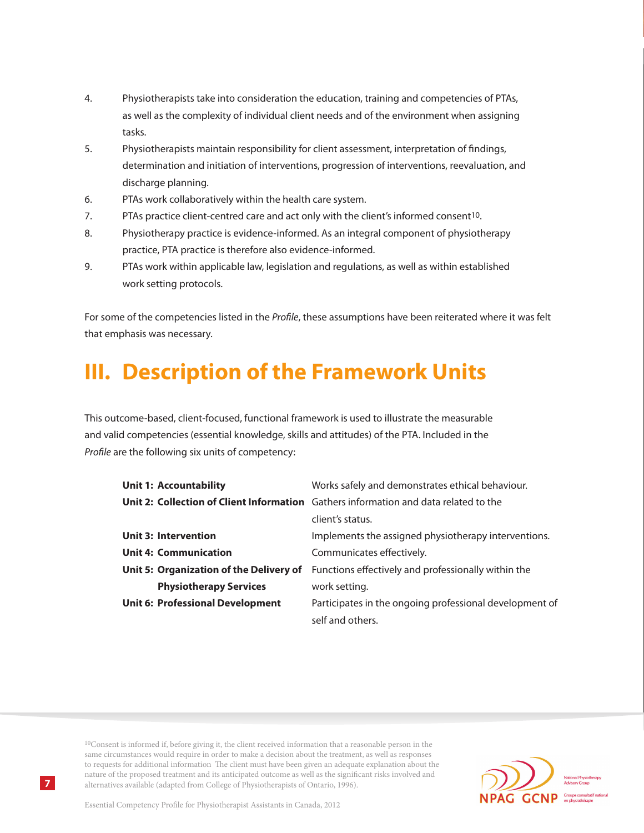- 4. Physiotherapists take into consideration the education, training and competencies of PTAs, as well as the complexity of individual client needs and of the environment when assigning tasks.
- 5. Physiotherapists maintain responsibility for client assessment, interpretation of findings, determination and initiation of interventions, progression of interventions, reevaluation, and discharge planning.
- 6. PTAs work collaboratively within the health care system.
- 7. PTAs practice client-centred care and act only with the client's informed consent10.
- 8. Physiotherapy practice is evidence-informed. As an integral component of physiotherapy practice, PTA practice is therefore also evidence-informed.
- 9. PTAs work within applicable law, legislation and regulations, as well as within established work setting protocols.

For some of the competencies listed in the *Profile*, these assumptions have been reiterated where it was felt that emphasis was necessary.

#### **III. Description of the Framework Units**

This outcome-based, client-focused, functional framework is used to illustrate the measurable and valid competencies (essential knowledge, skills and attitudes) of the PTA. Included in the *Profile* are the following six units of competency:

| <b>Unit 1: Accountability</b>           | Works safely and demonstrates ethical behaviour.                                     |
|-----------------------------------------|--------------------------------------------------------------------------------------|
|                                         | Unit 2: Collection of Client Information Gathers information and data related to the |
|                                         | client's status.                                                                     |
| <b>Unit 3: Intervention</b>             | Implements the assigned physiotherapy interventions.                                 |
| <b>Unit 4: Communication</b>            | Communicates effectively.                                                            |
| Unit 5: Organization of the Delivery of | Functions effectively and professionally within the                                  |
| <b>Physiotherapy Services</b>           | work setting.                                                                        |
| <b>Unit 6: Professional Development</b> | Participates in the ongoing professional development of                              |
|                                         | self and others.                                                                     |

 $10$ Consent is informed if, before giving it, the client received information that a reasonable person in the same circumstances would require in order to make a decision about the treatment, as well as responses to requests for additional information The client must have been given an adequate explanation about the nature of the proposed treatment and its anticipated outcome as well as the significant risks involved and alternatives available (adapted from College of Physiotherapists of Ontario, 1996).

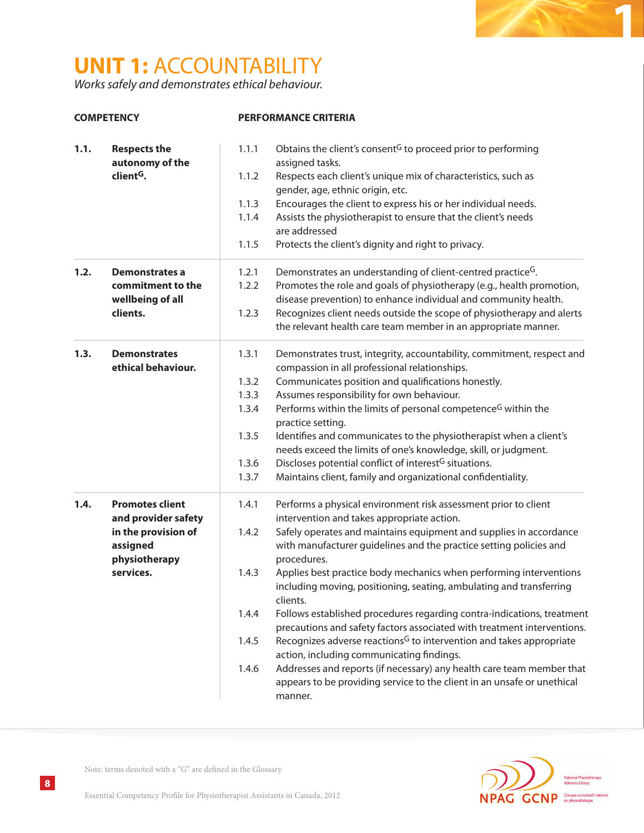### **UNIT 1:** ACCOUNTABILITY

*Works safely and demonstrates ethical behaviour.*

#### **COMPETENCY PERFORMANCE CRITERIA**

| 1.1. | <b>Respects the</b><br>autonomy of the           | 1.1.1 | Obtains the client's consent <sup>G</sup> to proceed prior to performing<br>assigned tasks.                                                                 |
|------|--------------------------------------------------|-------|-------------------------------------------------------------------------------------------------------------------------------------------------------------|
|      | client <sup>G</sup> .                            | 1.1.2 | Respects each client's unique mix of characteristics, such as<br>gender, age, ethnic origin, etc.                                                           |
|      |                                                  | 1.1.3 | Encourages the client to express his or her individual needs.                                                                                               |
|      |                                                  | 1.1.4 | Assists the physiotherapist to ensure that the client's needs<br>are addressed                                                                              |
|      |                                                  | 1.1.5 | Protects the client's dignity and right to privacy.                                                                                                         |
| 1.2. | Demonstrates a                                   | 1.2.1 | Demonstrates an understanding of client-centred practice <sup>G</sup> .                                                                                     |
|      | commitment to the<br>wellbeing of all            | 1.2.2 | Promotes the role and goals of physiotherapy (e.g., health promotion,<br>disease prevention) to enhance individual and community health.                    |
|      | clients.                                         | 1.2.3 | Recognizes client needs outside the scope of physiotherapy and alerts<br>the relevant health care team member in an appropriate manner.                     |
| 1.3. | <b>Demonstrates</b><br>ethical behaviour.        | 1.3.1 | Demonstrates trust, integrity, accountability, commitment, respect and<br>compassion in all professional relationships.                                     |
|      |                                                  | 1.3.2 | Communicates position and qualifications honestly.                                                                                                          |
|      |                                                  | 1.3.3 | Assumes responsibility for own behaviour.                                                                                                                   |
|      |                                                  | 1.3.4 | Performs within the limits of personal competenceG within the<br>practice setting.                                                                          |
|      |                                                  | 1.3.5 | Identifies and communicates to the physiotherapist when a client's<br>needs exceed the limits of one's knowledge, skill, or judgment.                       |
|      |                                                  | 1.3.6 | Discloses potential conflict of interest <sup>G</sup> situations.                                                                                           |
|      |                                                  | 1.3.7 | Maintains client, family and organizational confidentiality.                                                                                                |
| 1.4. | <b>Promotes client</b><br>and provider safety    | 1.4.1 | Performs a physical environment risk assessment prior to client<br>intervention and takes appropriate action.                                               |
|      | in the provision of<br>assigned<br>physiotherapy | 1.4.2 | Safely operates and maintains equipment and supplies in accordance<br>with manufacturer guidelines and the practice setting policies and<br>procedures.     |
|      | services.                                        | 1.4.3 | Applies best practice body mechanics when performing interventions<br>including moving, positioning, seating, ambulating and transferring<br>clients.       |
|      |                                                  | 1.4.4 | Follows established procedures regarding contra-indications, treatment<br>precautions and safety factors associated with treatment interventions.           |
|      |                                                  | 1.4.5 | Recognizes adverse reactions <sup>G</sup> to intervention and takes appropriate<br>action, including communicating findings.                                |
|      |                                                  | 1.4.6 | Addresses and reports (if necessary) any health care team member that<br>appears to be providing service to the client in an unsafe or unethical<br>manner. |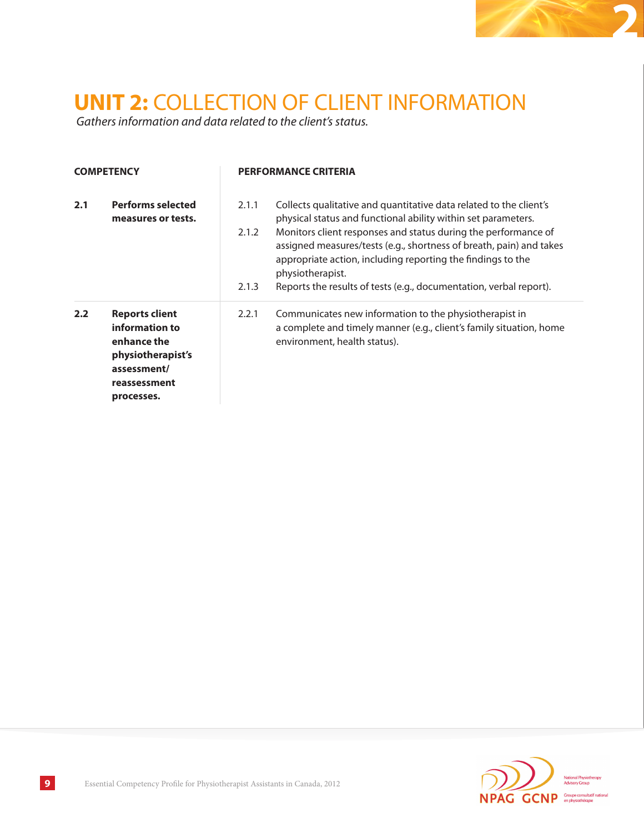# **2**

### **UNIT 2: COLLECTION OF CLIENT INFORMATION**

 *Gathers information and data related to the client's status.*

| <b>COMPETENCY</b> |                                                                                                                          | <b>PERFORMANCE CRITERIA</b> |                                                                                                                                                                                                                          |  |
|-------------------|--------------------------------------------------------------------------------------------------------------------------|-----------------------------|--------------------------------------------------------------------------------------------------------------------------------------------------------------------------------------------------------------------------|--|
| 2.1               | <b>Performs selected</b><br>measures or tests.                                                                           | 2.1.1                       | Collects qualitative and quantitative data related to the client's<br>physical status and functional ability within set parameters.                                                                                      |  |
|                   |                                                                                                                          | 2.1.2                       | Monitors client responses and status during the performance of<br>assigned measures/tests (e.g., shortness of breath, pain) and takes<br>appropriate action, including reporting the findings to the<br>physiotherapist. |  |
|                   |                                                                                                                          | 2.1.3                       | Reports the results of tests (e.g., documentation, verbal report).                                                                                                                                                       |  |
| 2.2               | <b>Reports client</b><br>information to<br>enhance the<br>physiotherapist's<br>assessment/<br>reassessment<br>processes. | 2.2.1                       | Communicates new information to the physiotherapist in<br>a complete and timely manner (e.g., client's family situation, home<br>environment, health status).                                                            |  |

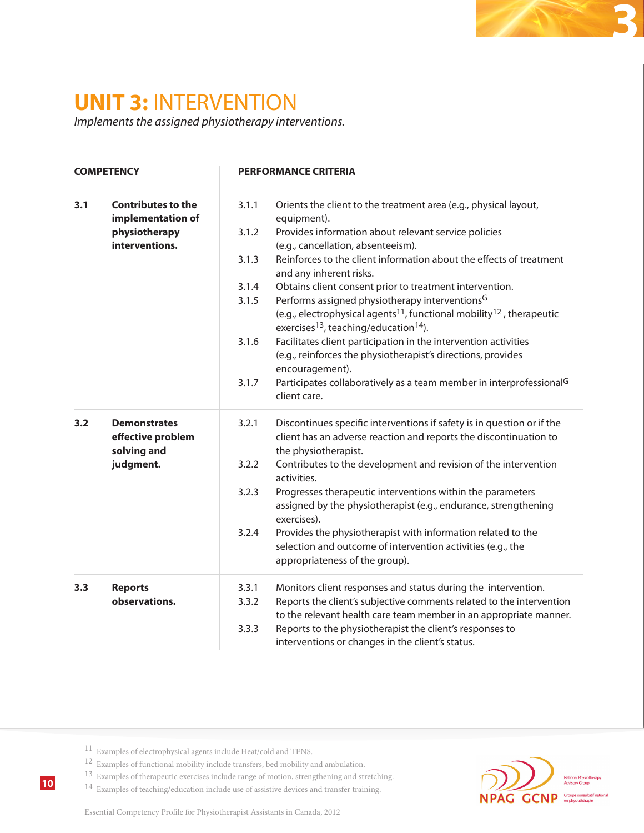#### **UNIT 3:** INTERVENTION

*Implements the assigned physiotherapy interventions.*

| <b>COMPETENCY</b> |                                                         | <b>PERFORMANCE CRITERIA</b> |                                                                                                                                                                                                                              |  |
|-------------------|---------------------------------------------------------|-----------------------------|------------------------------------------------------------------------------------------------------------------------------------------------------------------------------------------------------------------------------|--|
| 3.1               | <b>Contributes to the</b>                               | 3.1.1                       | Orients the client to the treatment area (e.g., physical layout,                                                                                                                                                             |  |
|                   | implementation of                                       |                             | equipment).                                                                                                                                                                                                                  |  |
|                   | physiotherapy                                           | 3.1.2                       | Provides information about relevant service policies                                                                                                                                                                         |  |
|                   | interventions.                                          |                             | (e.g., cancellation, absenteeism).                                                                                                                                                                                           |  |
|                   |                                                         | 3.1.3                       | Reinforces to the client information about the effects of treatment<br>and any inherent risks.                                                                                                                               |  |
|                   |                                                         | 3.1.4                       | Obtains client consent prior to treatment intervention.                                                                                                                                                                      |  |
|                   |                                                         | 3.1.5                       | Performs assigned physiotherapy interventions <sup>G</sup><br>(e.g., electrophysical agents <sup>11</sup> , functional mobility <sup>12</sup> , therapeutic<br>exercises <sup>13</sup> , teaching/education <sup>14</sup> ). |  |
|                   |                                                         | 3.1.6                       | Facilitates client participation in the intervention activities<br>(e.g., reinforces the physiotherapist's directions, provides<br>encouragement).                                                                           |  |
|                   |                                                         | 3.1.7                       | Participates collaboratively as a team member in interprofessional <sup>G</sup><br>client care.                                                                                                                              |  |
| 3.2               | <b>Demonstrates</b><br>effective problem<br>solving and | 3.2.1                       | Discontinues specific interventions if safety is in question or if the<br>client has an adverse reaction and reports the discontinuation to<br>the physiotherapist.                                                          |  |
|                   | judgment.                                               | 3.2.2                       | Contributes to the development and revision of the intervention<br>activities.                                                                                                                                               |  |
|                   |                                                         | 3.2.3                       | Progresses therapeutic interventions within the parameters<br>assigned by the physiotherapist (e.g., endurance, strengthening<br>exercises).                                                                                 |  |
|                   |                                                         | 3.2.4                       | Provides the physiotherapist with information related to the<br>selection and outcome of intervention activities (e.g., the<br>appropriateness of the group).                                                                |  |
| 3.3               | <b>Reports</b>                                          | 3.3.1                       | Monitors client responses and status during the intervention.                                                                                                                                                                |  |
|                   | observations.                                           | 3.3.2                       | Reports the client's subjective comments related to the intervention<br>to the relevant health care team member in an appropriate manner.                                                                                    |  |
|                   |                                                         | 3.3.3                       | Reports to the physiotherapist the client's responses to<br>interventions or changes in the client's status.                                                                                                                 |  |

 $^{11}\,$  Examples of electrophysical agents include Heat/cold and TENS.

12 Examples of functional mobility include transfers, bed mobility and ambulation.

 $^{13}$  Examples of the<br>rapeutic exercises include range of motion, strengthening and stretching. 14 Examples of teaching/education include use of assistive devices and transfer training.

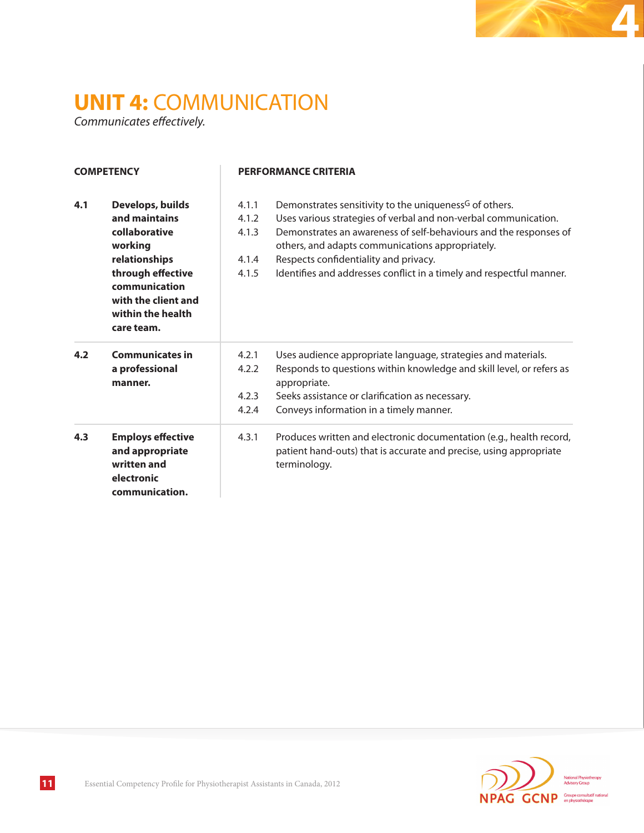### **UNIT 4: COMMUNICATION**

*Communicates effectively.*

| <b>COMPETENCY</b> |                                                                                                                                                                                | <b>PERFORMANCE CRITERIA</b>               |                                                                                                                                                                                                                                                                                                                                                                                 |  |
|-------------------|--------------------------------------------------------------------------------------------------------------------------------------------------------------------------------|-------------------------------------------|---------------------------------------------------------------------------------------------------------------------------------------------------------------------------------------------------------------------------------------------------------------------------------------------------------------------------------------------------------------------------------|--|
| 4.1               | Develops, builds<br>and maintains<br>collaborative<br>working<br>relationships<br>through effective<br>communication<br>with the client and<br>within the health<br>care team. | 4.1.1<br>4.1.2<br>4.1.3<br>4.1.4<br>4.1.5 | Demonstrates sensitivity to the uniqueness <sup>G</sup> of others.<br>Uses various strategies of verbal and non-verbal communication.<br>Demonstrates an awareness of self-behaviours and the responses of<br>others, and adapts communications appropriately.<br>Respects confidentiality and privacy.<br>Identifies and addresses conflict in a timely and respectful manner. |  |
| 4.2               | <b>Communicates in</b><br>a professional<br>manner.                                                                                                                            | 4.2.1<br>4.2.2<br>4.2.3<br>4.2.4          | Uses audience appropriate language, strategies and materials.<br>Responds to questions within knowledge and skill level, or refers as<br>appropriate.<br>Seeks assistance or clarification as necessary.<br>Conveys information in a timely manner.                                                                                                                             |  |
| 4.3               | <b>Employs effective</b><br>and appropriate<br>written and<br>electronic<br>communication.                                                                                     | 4.3.1                                     | Produces written and electronic documentation (e.g., health record,<br>patient hand-outs) that is accurate and precise, using appropriate<br>terminology.                                                                                                                                                                                                                       |  |



**4**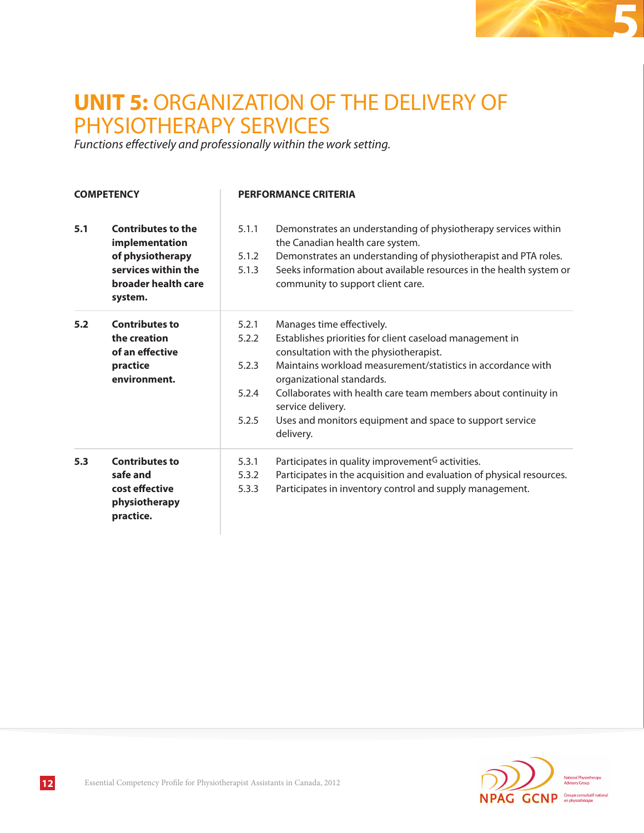### **UNIT 5: ORGANIZATION OF THE DELIVERY OF** PHYSIOTHERAPY SERVICES

*Functions effectively and professionally within the work setting.*

| <b>COMPETENCY</b> |                                                                                                                   | <b>PERFORMANCE CRITERIA</b>               |                                                                                                                                                                                                                                                                                                                                                                                              |  |  |
|-------------------|-------------------------------------------------------------------------------------------------------------------|-------------------------------------------|----------------------------------------------------------------------------------------------------------------------------------------------------------------------------------------------------------------------------------------------------------------------------------------------------------------------------------------------------------------------------------------------|--|--|
| 5.1               | Contributes to the<br>implementation<br>of physiotherapy<br>services within the<br>broader health care<br>system. | 5.1.1<br>5.1.2<br>5.1.3                   | Demonstrates an understanding of physiotherapy services within<br>the Canadian health care system.<br>Demonstrates an understanding of physiotherapist and PTA roles.<br>Seeks information about available resources in the health system or<br>community to support client care.                                                                                                            |  |  |
| 5.2               | <b>Contributes to</b><br>the creation<br>of an effective<br>practice<br>environment.                              | 5.2.1<br>5.2.2<br>5.2.3<br>5.2.4<br>5.2.5 | Manages time effectively.<br>Establishes priorities for client caseload management in<br>consultation with the physiotherapist.<br>Maintains workload measurement/statistics in accordance with<br>organizational standards.<br>Collaborates with health care team members about continuity in<br>service delivery.<br>Uses and monitors equipment and space to support service<br>delivery. |  |  |
| 5.3               | <b>Contributes to</b><br>safe and<br>cost effective<br>physiotherapy<br>practice.                                 | 5.3.1<br>5.3.2<br>5.3.3                   | Participates in quality improvement <sup>G</sup> activities.<br>Participates in the acquisition and evaluation of physical resources.<br>Participates in inventory control and supply management.                                                                                                                                                                                            |  |  |



**5**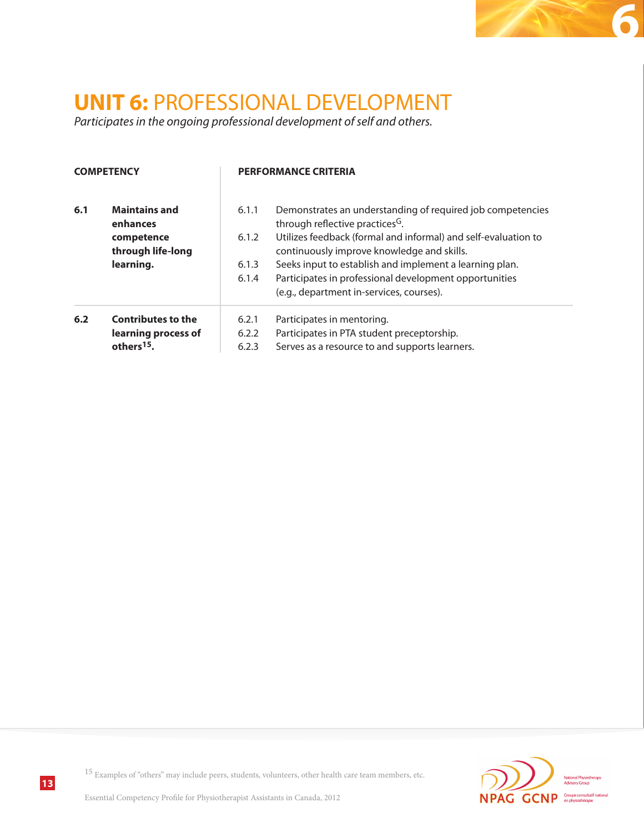### **UNIT 6: PROFESSIONAL DEVELOPMENT**

*Participates in the ongoing professional development of self and others.*

| <b>COMPETENCY</b> |                                                                            | <b>PERFORMANCE CRITERIA</b> |                                                                                                                                                               |  |
|-------------------|----------------------------------------------------------------------------|-----------------------------|---------------------------------------------------------------------------------------------------------------------------------------------------------------|--|
| 6.1               | <b>Maintains and</b><br>enhances                                           | 6.1.1                       | Demonstrates an understanding of required job competencies<br>through reflective practices <sup>G</sup> .                                                     |  |
|                   | competence<br>through life-long                                            | 6.1.2                       | Utilizes feedback (formal and informal) and self-evaluation to<br>continuously improve knowledge and skills.                                                  |  |
|                   | learning.                                                                  | 6.1.3<br>6.1.4              | Seeks input to establish and implement a learning plan.<br>Participates in professional development opportunities<br>(e.g., department in-services, courses). |  |
| 6.2               | <b>Contributes to the</b><br>learning process of<br>others <sup>15</sup> . | 6.2.1<br>6.2.2<br>6.2.3     | Participates in mentoring.<br>Participates in PTA student preceptorship.<br>Serves as a resource to and supports learners.                                    |  |



**6**

 $^{15}$  Examples of "others" may include peers, students, volunteers, other health care team members, etc.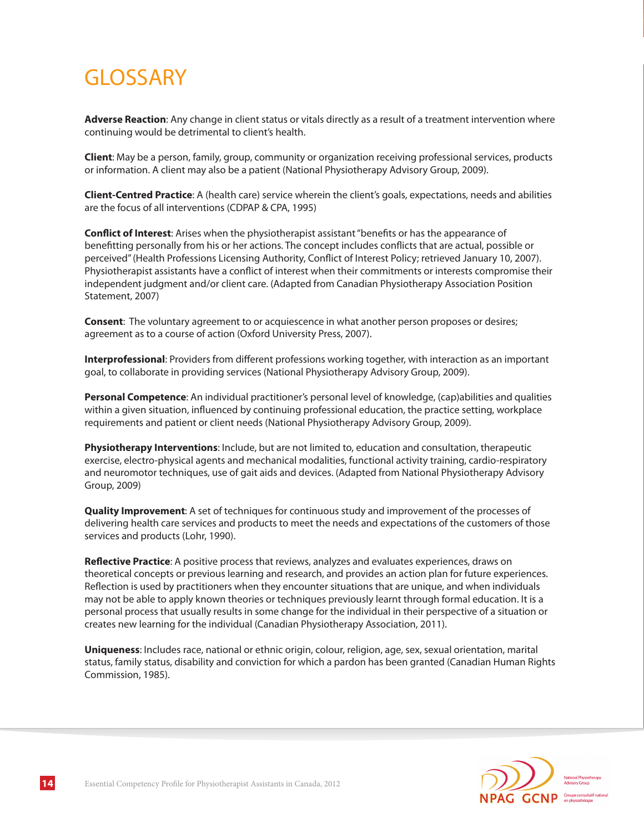### GLOSSARY

**Adverse Reaction**: Any change in client status or vitals directly as a result of a treatment intervention where continuing would be detrimental to client's health.

**Client**: May be a person, family, group, community or organization receiving professional services, products or information. A client may also be a patient (National Physiotherapy Advisory Group, 2009).

**Client-Centred Practice**: A (health care) service wherein the client's goals, expectations, needs and abilities are the focus of all interventions (CDPAP & CPA, 1995)

**Conflict of Interest**: Arises when the physiotherapist assistant "benefits or has the appearance of benefitting personally from his or her actions. The concept includes conflicts that are actual, possible or perceived" (Health Professions Licensing Authority, Conflict of Interest Policy; retrieved January 10, 2007). Physiotherapist assistants have a conflict of interest when their commitments or interests compromise their independent judgment and/or client care. (Adapted from Canadian Physiotherapy Association Position Statement, 2007)

**Consent**: The voluntary agreement to or acquiescence in what another person proposes or desires; agreement as to a course of action (Oxford University Press, 2007).

**Interprofessional**: Providers from different professions working together, with interaction as an important goal, to collaborate in providing services (National Physiotherapy Advisory Group, 2009).

**Personal Competence**: An individual practitioner's personal level of knowledge, (cap)abilities and qualities within a given situation, influenced by continuing professional education, the practice setting, workplace requirements and patient or client needs (National Physiotherapy Advisory Group, 2009).

**Physiotherapy Interventions**: Include, but are not limited to, education and consultation, therapeutic exercise, electro-physical agents and mechanical modalities, functional activity training, cardio-respiratory and neuromotor techniques, use of gait aids and devices. (Adapted from National Physiotherapy Advisory Group, 2009)

**Quality Improvement**: A set of techniques for continuous study and improvement of the processes of delivering health care services and products to meet the needs and expectations of the customers of those services and products (Lohr, 1990).

**Reflective Practice**: A positive process that reviews, analyzes and evaluates experiences, draws on theoretical concepts or previous learning and research, and provides an action plan for future experiences. Reflection is used by practitioners when they encounter situations that are unique, and when individuals may not be able to apply known theories or techniques previously learnt through formal education. It is a personal process that usually results in some change for the individual in their perspective of a situation or creates new learning for the individual (Canadian Physiotherapy Association, 2011).

**Uniqueness**: Includes race, national or ethnic origin, colour, religion, age, sex, sexual orientation, marital status, family status, disability and conviction for which a pardon has been granted (Canadian Human Rights Commission, 1985).

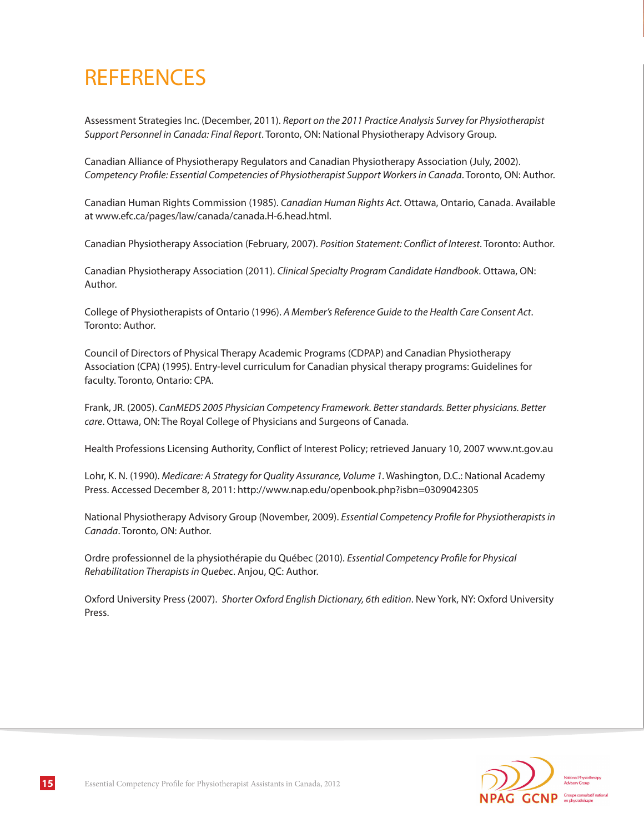### **REFERENCES**

Assessment Strategies Inc. (December, 2011). *Report on the 2011 Practice Analysis Survey for Physiotherapist Support Personnel in Canada: Final Report*. Toronto, ON: National Physiotherapy Advisory Group.

Canadian Alliance of Physiotherapy Regulators and Canadian Physiotherapy Association (July, 2002). *Competency Profile: Essential Competencies of Physiotherapist Support Workers in Canada*. Toronto, ON: Author.

Canadian Human Rights Commission (1985). *Canadian Human Rights Act*. Ottawa, Ontario, Canada. Available at www.efc.ca/pages/law/canada/canada.H-6.head.html.

Canadian Physiotherapy Association (February, 2007). *Position Statement: Conflict of Interest*. Toronto: Author.

Canadian Physiotherapy Association (2011). *Clinical Specialty Program Candidate Handbook*. Ottawa, ON: Author.

College of Physiotherapists of Ontario (1996). *A Member's Reference Guide to the Health Care Consent Act*. Toronto: Author.

Council of Directors of Physical Therapy Academic Programs (CDPAP) and Canadian Physiotherapy Association (CPA) (1995). Entry-level curriculum for Canadian physical therapy programs: Guidelines for faculty. Toronto, Ontario: CPA.

Frank, JR. (2005). *CanMEDS 2005 Physician Competency Framework. Better standards. Better physicians. Better care*. Ottawa, ON: The Royal College of Physicians and Surgeons of Canada.

Health Professions Licensing Authority, Conflict of Interest Policy; retrieved January 10, 2007 www.nt.gov.au

Lohr, K. N. (1990). *Medicare: A Strategy for Quality Assurance, Volume 1*. Washington, D.C.: National Academy Press. Accessed December 8, 2011: http://www.nap.edu/openbook.php?isbn=0309042305

National Physiotherapy Advisory Group (November, 2009). *Essential Competency Profile for Physiotherapists in Canada*. Toronto, ON: Author.

Ordre professionnel de la physiothérapie du Québec (2010). *Essential Competency Profile for Physical Rehabilitation Therapists in Quebec*. Anjou, QC: Author.

Oxford University Press (2007). *Shorter Oxford English Dictionary, 6th edition*. New York, NY: Oxford University Press.

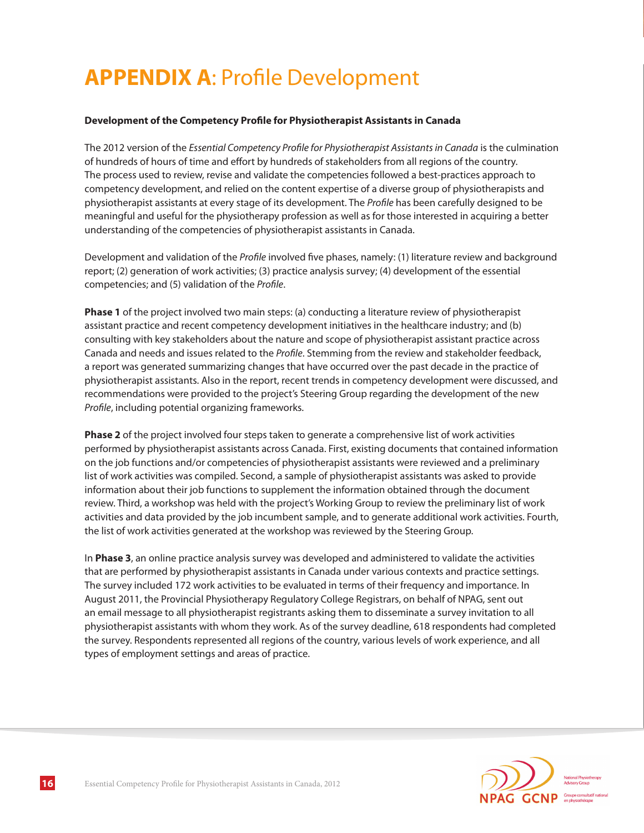### **APPENDIX A**: Profile Development

#### **Development of the Competency Profile for Physiotherapist Assistants in Canada**

The 2012 version of the *Essential Competency Profile for Physiotherapist Assistants in Canada* is the culmination of hundreds of hours of time and effort by hundreds of stakeholders from all regions of the country. The process used to review, revise and validate the competencies followed a best-practices approach to competency development, and relied on the content expertise of a diverse group of physiotherapists and physiotherapist assistants at every stage of its development. The *Profile* has been carefully designed to be meaningful and useful for the physiotherapy profession as well as for those interested in acquiring a better understanding of the competencies of physiotherapist assistants in Canada.

Development and validation of the *Profile* involved five phases, namely: (1) literature review and background report; (2) generation of work activities; (3) practice analysis survey; (4) development of the essential competencies; and (5) validation of the *Profile*.

**Phase 1** of the project involved two main steps: (a) conducting a literature review of physiotherapist assistant practice and recent competency development initiatives in the healthcare industry; and (b) consulting with key stakeholders about the nature and scope of physiotherapist assistant practice across Canada and needs and issues related to the *Profile*. Stemming from the review and stakeholder feedback, a report was generated summarizing changes that have occurred over the past decade in the practice of physiotherapist assistants. Also in the report, recent trends in competency development were discussed, and recommendations were provided to the project's Steering Group regarding the development of the new *Profile*, including potential organizing frameworks.

**Phase 2** of the project involved four steps taken to generate a comprehensive list of work activities performed by physiotherapist assistants across Canada. First, existing documents that contained information on the job functions and/or competencies of physiotherapist assistants were reviewed and a preliminary list of work activities was compiled. Second, a sample of physiotherapist assistants was asked to provide information about their job functions to supplement the information obtained through the document review. Third, a workshop was held with the project's Working Group to review the preliminary list of work activities and data provided by the job incumbent sample, and to generate additional work activities. Fourth, the list of work activities generated at the workshop was reviewed by the Steering Group.

In **Phase 3**, an online practice analysis survey was developed and administered to validate the activities that are performed by physiotherapist assistants in Canada under various contexts and practice settings. The survey included 172 work activities to be evaluated in terms of their frequency and importance. In August 2011, the Provincial Physiotherapy Regulatory College Registrars, on behalf of NPAG, sent out an email message to all physiotherapist registrants asking them to disseminate a survey invitation to all physiotherapist assistants with whom they work. As of the survey deadline, 618 respondents had completed the survey. Respondents represented all regions of the country, various levels of work experience, and all types of employment settings and areas of practice.

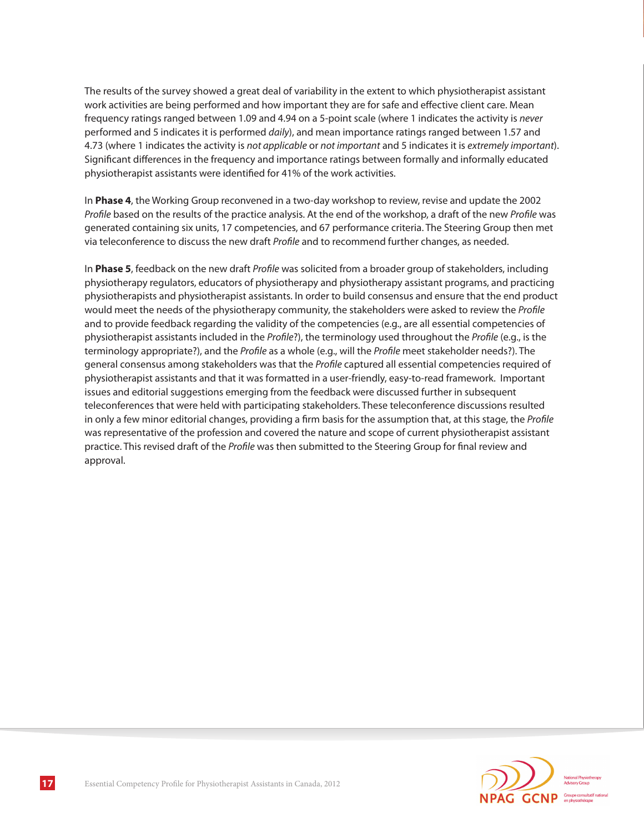The results of the survey showed a great deal of variability in the extent to which physiotherapist assistant work activities are being performed and how important they are for safe and effective client care. Mean frequency ratings ranged between 1.09 and 4.94 on a 5-point scale (where 1 indicates the activity is *never* performed and 5 indicates it is performed *daily*), and mean importance ratings ranged between 1.57 and 4.73 (where 1 indicates the activity is *not applicable* or *not important* and 5 indicates it is *extremely important*). Significant differences in the frequency and importance ratings between formally and informally educated physiotherapist assistants were identified for 41% of the work activities.

In **Phase 4**, the Working Group reconvened in a two-day workshop to review, revise and update the 2002 *Profile* based on the results of the practice analysis. At the end of the workshop, a draft of the new *Profile* was generated containing six units, 17 competencies, and 67 performance criteria. The Steering Group then met via teleconference to discuss the new draft *Profile* and to recommend further changes, as needed.

In **Phase 5**, feedback on the new draft *Profile* was solicited from a broader group of stakeholders, including physiotherapy regulators, educators of physiotherapy and physiotherapy assistant programs, and practicing physiotherapists and physiotherapist assistants. In order to build consensus and ensure that the end product would meet the needs of the physiotherapy community, the stakeholders were asked to review the *Profile* and to provide feedback regarding the validity of the competencies (e.g., are all essential competencies of physiotherapist assistants included in the *Profile*?), the terminology used throughout the *Profile* (e.g., is the terminology appropriate?), and the *Profile* as a whole (e.g., will the *Profile* meet stakeholder needs?). The general consensus among stakeholders was that the *Profile* captured all essential competencies required of physiotherapist assistants and that it was formatted in a user-friendly, easy-to-read framework. Important issues and editorial suggestions emerging from the feedback were discussed further in subsequent teleconferences that were held with participating stakeholders. These teleconference discussions resulted in only a few minor editorial changes, providing a firm basis for the assumption that, at this stage, the *Profile* was representative of the profession and covered the nature and scope of current physiotherapist assistant practice. This revised draft of the *Profile* was then submitted to the Steering Group for final review and approval.

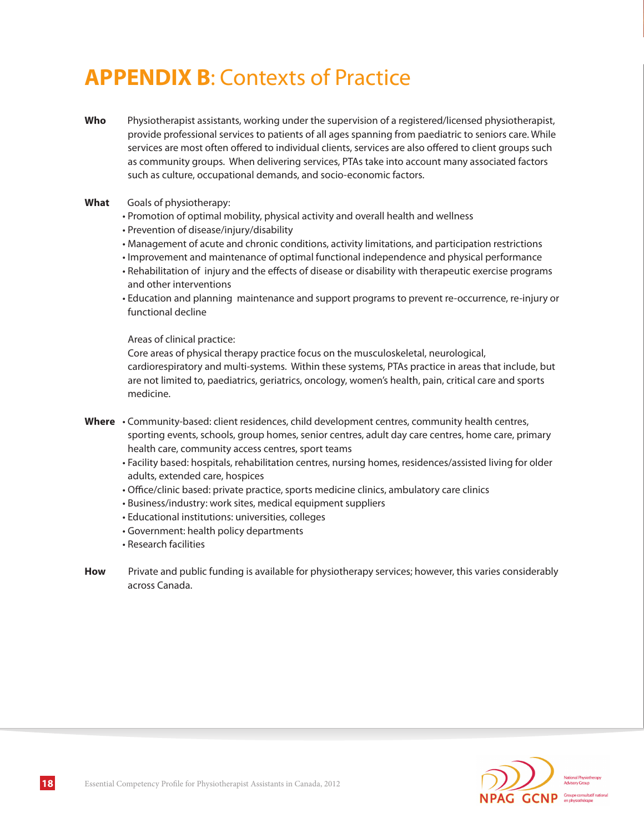### **APPENDIX B**: Contexts of Practice

- **Who** Physiotherapist assistants, working under the supervision of a registered/licensed physiotherapist, provide professional services to patients of all ages spanning from paediatric to seniors care. While services are most often offered to individual clients, services are also offered to client groups such as community groups. When delivering services, PTAs take into account many associated factors such as culture, occupational demands, and socio-economic factors.
- **What** Goals of physiotherapy:
	- Promotion of optimal mobility, physical activity and overall health and wellness
	- Prevention of disease/injury/disability
	- Management of acute and chronic conditions, activity limitations, and participation restrictions
	- Improvement and maintenance of optimal functional independence and physical performance
	- Rehabilitation of injury and the effects of disease or disability with therapeutic exercise programs and other interventions
	- Education and planning maintenance and support programs to prevent re-occurrence, re-injury or functional decline

Areas of clinical practice:

Core areas of physical therapy practice focus on the musculoskeletal, neurological, cardiorespiratory and multi-systems. Within these systems, PTAs practice in areas that include, but are not limited to, paediatrics, geriatrics, oncology, women's health, pain, critical care and sports medicine.

- **Where** Community-based: client residences, child development centres, community health centres, sporting events, schools, group homes, senior centres, adult day care centres, home care, primary health care, community access centres, sport teams
	- Facility based: hospitals, rehabilitation centres, nursing homes, residences/assisted living for older adults, extended care, hospices
	- Office/clinic based: private practice, sports medicine clinics, ambulatory care clinics
	- Business/industry: work sites, medical equipment suppliers
	- Educational institutions: universities, colleges
	- Government: health policy departments
	- Research facilities
- **How** Private and public funding is available for physiotherapy services; however, this varies considerably across Canada.

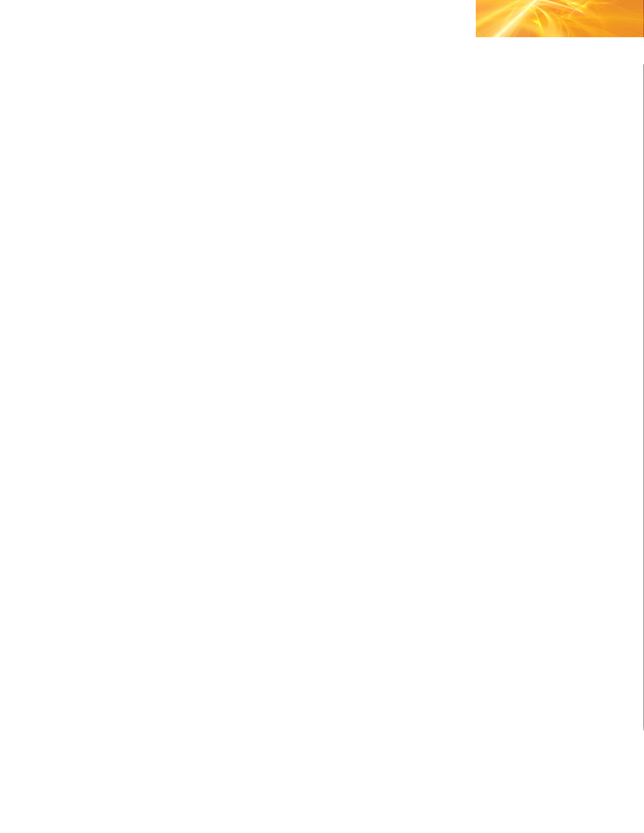